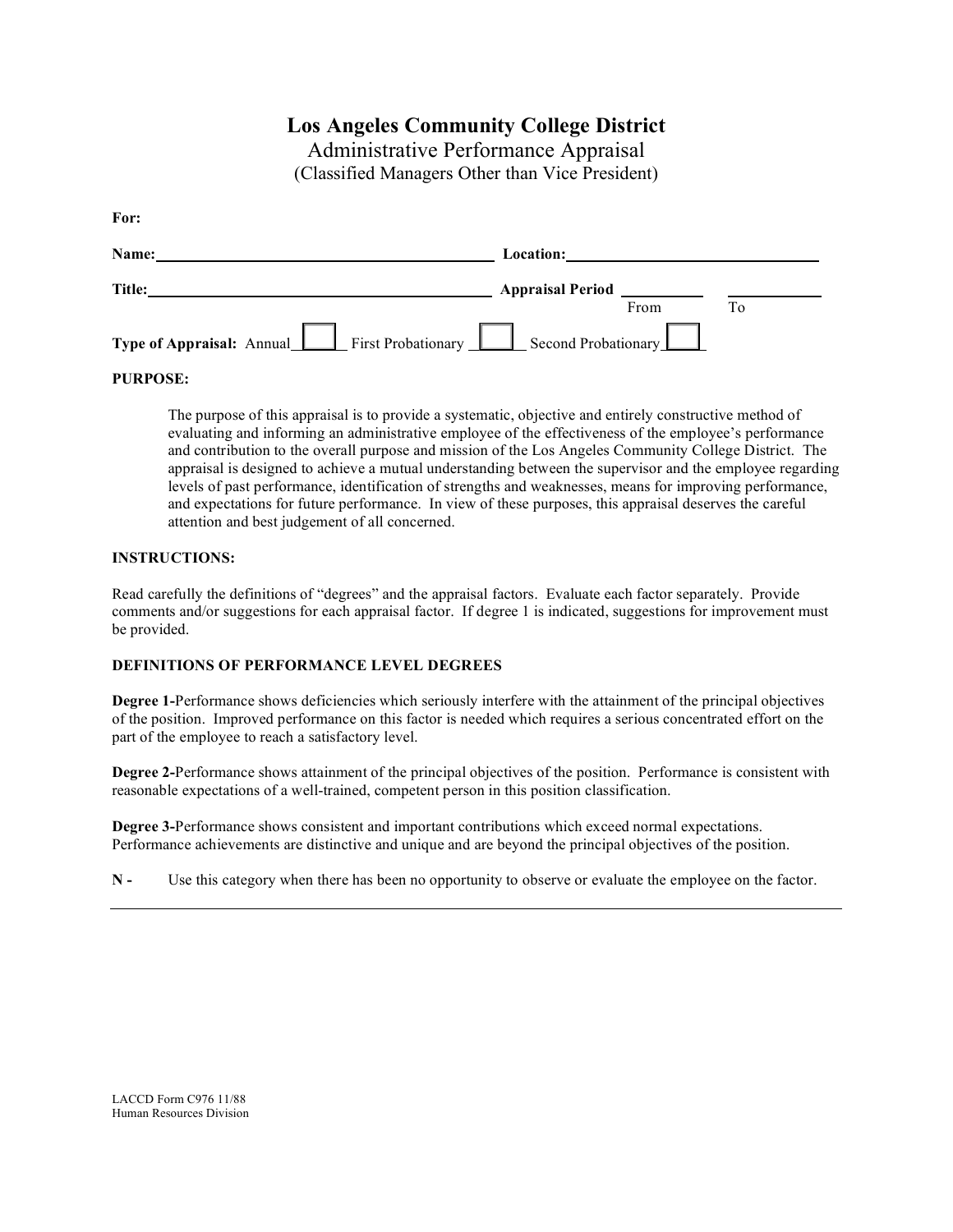# **Los Angeles Community College District**

Administrative Performance Appraisal

(Classified Managers Other than Vice President)

**For:**

| Name:                                                            | Location: |      |  |
|------------------------------------------------------------------|-----------|------|--|
| Title:                                                           |           |      |  |
|                                                                  |           | From |  |
| Type of Appraisal: Annual First Probationary Recond Probationary |           |      |  |

### **PURPOSE:**

The purpose of this appraisal is to provide a systematic, objective and entirely constructive method of evaluating and informing an administrative employee of the effectiveness of the employee's performance and contribution to the overall purpose and mission of the Los Angeles Community College District. The appraisal is designed to achieve a mutual understanding between the supervisor and the employee regarding levels of past performance, identification of strengths and weaknesses, means for improving performance, and expectations for future performance. In view of these purposes, this appraisal deserves the careful attention and best judgement of all concerned.

### **INSTRUCTIONS:**

Read carefully the definitions of "degrees" and the appraisal factors. Evaluate each factor separately. Provide comments and/or suggestions for each appraisal factor. If degree 1 is indicated, suggestions for improvement must be provided.

### **DEFINITIONS OF PERFORMANCE LEVEL DEGREES**

**Degree 1-**Performance shows deficiencies which seriously interfere with the attainment of the principal objectives of the position. Improved performance on this factor is needed which requires a serious concentrated effort on the part of the employee to reach a satisfactory level.

**Degree 2-**Performance shows attainment of the principal objectives of the position. Performance is consistent with reasonable expectations of a well-trained, competent person in this position classification.

**Degree 3-**Performance shows consistent and important contributions which exceed normal expectations. Performance achievements are distinctive and unique and are beyond the principal objectives of the position.

**N -** Use this category when there has been no opportunity to observe or evaluate the employee on the factor.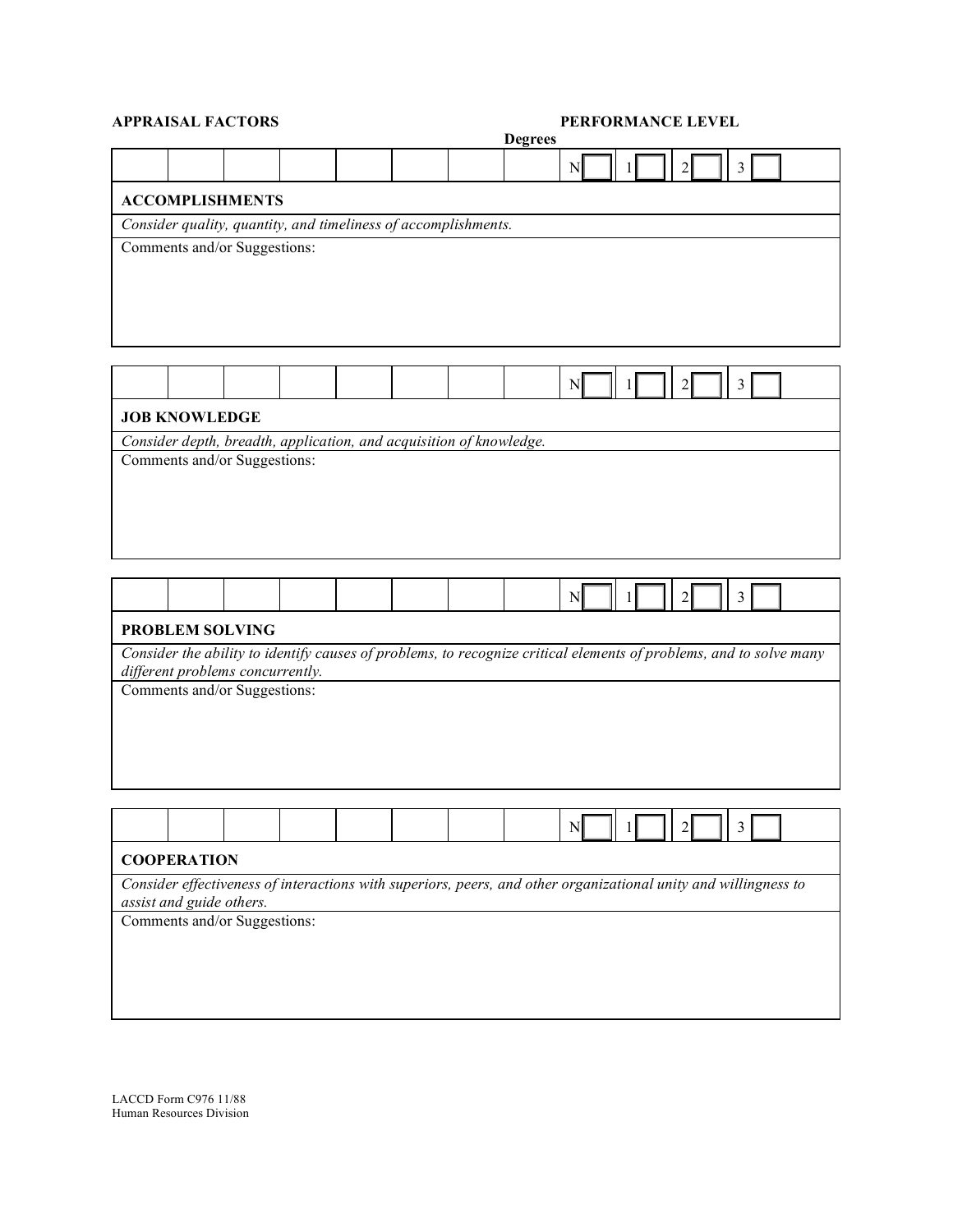|                                                                                                                                                        |                          | <b>APPRAISAL FACTORS</b>     |                                                                                                                 |  |  |  |                | PERFORMANCE LEVEL |  |                |   |  |
|--------------------------------------------------------------------------------------------------------------------------------------------------------|--------------------------|------------------------------|-----------------------------------------------------------------------------------------------------------------|--|--|--|----------------|-------------------|--|----------------|---|--|
|                                                                                                                                                        |                          |                              |                                                                                                                 |  |  |  | <b>Degrees</b> |                   |  |                |   |  |
|                                                                                                                                                        |                          |                              |                                                                                                                 |  |  |  |                | N                 |  | 2              | 3 |  |
|                                                                                                                                                        |                          | <b>ACCOMPLISHMENTS</b>       |                                                                                                                 |  |  |  |                |                   |  |                |   |  |
|                                                                                                                                                        |                          |                              | Consider quality, quantity, and timeliness of accomplishments.                                                  |  |  |  |                |                   |  |                |   |  |
|                                                                                                                                                        |                          | Comments and/or Suggestions: |                                                                                                                 |  |  |  |                |                   |  |                |   |  |
|                                                                                                                                                        |                          |                              |                                                                                                                 |  |  |  |                |                   |  |                |   |  |
|                                                                                                                                                        |                          |                              |                                                                                                                 |  |  |  |                |                   |  |                |   |  |
|                                                                                                                                                        |                          |                              |                                                                                                                 |  |  |  |                |                   |  |                |   |  |
|                                                                                                                                                        |                          |                              |                                                                                                                 |  |  |  |                |                   |  |                |   |  |
|                                                                                                                                                        |                          |                              |                                                                                                                 |  |  |  |                |                   |  |                |   |  |
|                                                                                                                                                        |                          |                              |                                                                                                                 |  |  |  |                | N                 |  | 2              | 3 |  |
|                                                                                                                                                        |                          |                              |                                                                                                                 |  |  |  |                |                   |  |                |   |  |
|                                                                                                                                                        | <b>JOB KNOWLEDGE</b>     |                              |                                                                                                                 |  |  |  |                |                   |  |                |   |  |
|                                                                                                                                                        |                          |                              | Consider depth, breadth, application, and acquisition of knowledge.                                             |  |  |  |                |                   |  |                |   |  |
|                                                                                                                                                        |                          | Comments and/or Suggestions: |                                                                                                                 |  |  |  |                |                   |  |                |   |  |
|                                                                                                                                                        |                          |                              |                                                                                                                 |  |  |  |                |                   |  |                |   |  |
|                                                                                                                                                        |                          |                              |                                                                                                                 |  |  |  |                |                   |  |                |   |  |
|                                                                                                                                                        |                          |                              |                                                                                                                 |  |  |  |                |                   |  |                |   |  |
|                                                                                                                                                        |                          |                              |                                                                                                                 |  |  |  |                |                   |  |                |   |  |
|                                                                                                                                                        |                          |                              |                                                                                                                 |  |  |  |                |                   |  |                |   |  |
|                                                                                                                                                        |                          |                              |                                                                                                                 |  |  |  |                |                   |  |                |   |  |
|                                                                                                                                                        |                          |                              |                                                                                                                 |  |  |  |                | $\mathbb{N}$      |  | $\overline{2}$ | 3 |  |
| <b>PROBLEM SOLVING</b>                                                                                                                                 |                          |                              |                                                                                                                 |  |  |  |                |                   |  |                |   |  |
|                                                                                                                                                        |                          |                              |                                                                                                                 |  |  |  |                |                   |  |                |   |  |
| Consider the ability to identify causes of problems, to recognize critical elements of problems, and to solve many<br>different problems concurrently. |                          |                              |                                                                                                                 |  |  |  |                |                   |  |                |   |  |
|                                                                                                                                                        |                          | Comments and/or Suggestions: |                                                                                                                 |  |  |  |                |                   |  |                |   |  |
|                                                                                                                                                        |                          |                              |                                                                                                                 |  |  |  |                |                   |  |                |   |  |
|                                                                                                                                                        |                          |                              |                                                                                                                 |  |  |  |                |                   |  |                |   |  |
|                                                                                                                                                        |                          |                              |                                                                                                                 |  |  |  |                |                   |  |                |   |  |
|                                                                                                                                                        |                          |                              |                                                                                                                 |  |  |  |                |                   |  |                |   |  |
|                                                                                                                                                        |                          |                              |                                                                                                                 |  |  |  |                |                   |  |                |   |  |
|                                                                                                                                                        |                          |                              |                                                                                                                 |  |  |  |                |                   |  |                |   |  |
|                                                                                                                                                        |                          |                              |                                                                                                                 |  |  |  |                |                   |  |                |   |  |
|                                                                                                                                                        | <b>COOPERATION</b>       |                              |                                                                                                                 |  |  |  |                |                   |  |                |   |  |
|                                                                                                                                                        |                          |                              | Consider effectiveness of interactions with superiors, peers, and other organizational unity and willingness to |  |  |  |                |                   |  |                |   |  |
|                                                                                                                                                        | assist and guide others. |                              |                                                                                                                 |  |  |  |                |                   |  |                |   |  |
|                                                                                                                                                        |                          | Comments and/or Suggestions: |                                                                                                                 |  |  |  |                |                   |  |                |   |  |
|                                                                                                                                                        |                          |                              |                                                                                                                 |  |  |  |                |                   |  |                |   |  |
|                                                                                                                                                        |                          |                              |                                                                                                                 |  |  |  |                |                   |  |                |   |  |
|                                                                                                                                                        |                          |                              |                                                                                                                 |  |  |  |                |                   |  |                |   |  |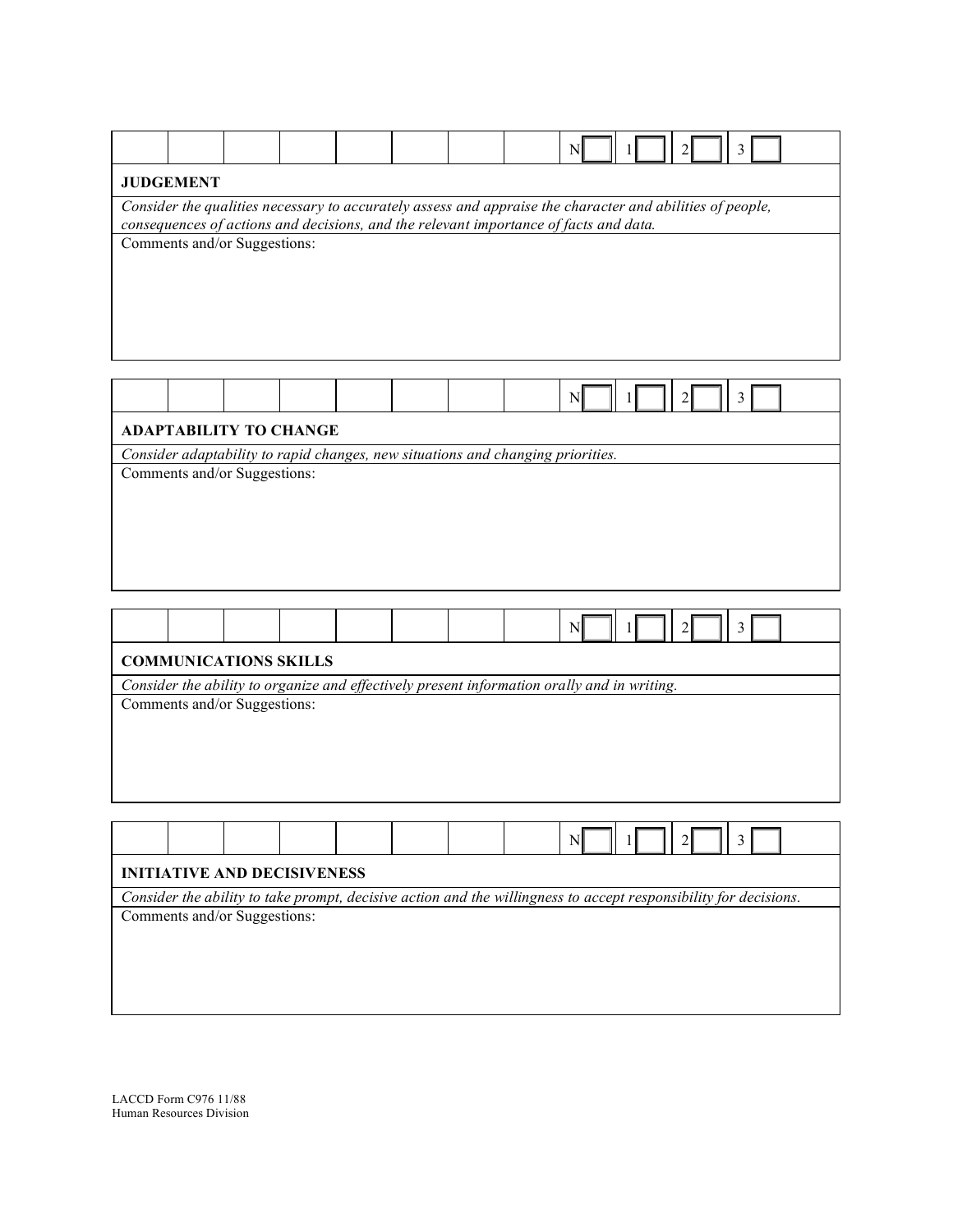|                                                                                                                                                                                                    |  |                              |  |  |  |  |  | $\mathbb{N}$ |  |                | 3 |  |
|----------------------------------------------------------------------------------------------------------------------------------------------------------------------------------------------------|--|------------------------------|--|--|--|--|--|--------------|--|----------------|---|--|
| <b>JUDGEMENT</b>                                                                                                                                                                                   |  |                              |  |  |  |  |  |              |  |                |   |  |
| Consider the qualities necessary to accurately assess and appraise the character and abilities of people,<br>consequences of actions and decisions, and the relevant importance of facts and data. |  |                              |  |  |  |  |  |              |  |                |   |  |
|                                                                                                                                                                                                    |  | Comments and/or Suggestions: |  |  |  |  |  |              |  |                |   |  |
|                                                                                                                                                                                                    |  |                              |  |  |  |  |  |              |  |                |   |  |
|                                                                                                                                                                                                    |  |                              |  |  |  |  |  |              |  |                |   |  |
|                                                                                                                                                                                                    |  |                              |  |  |  |  |  |              |  |                |   |  |
|                                                                                                                                                                                                    |  |                              |  |  |  |  |  |              |  |                |   |  |
|                                                                                                                                                                                                    |  |                              |  |  |  |  |  |              |  |                |   |  |
|                                                                                                                                                                                                    |  |                              |  |  |  |  |  |              |  |                |   |  |
|                                                                                                                                                                                                    |  |                              |  |  |  |  |  | N            |  | $\overline{2}$ | 3 |  |
| <b>ADAPTABILITY TO CHANGE</b>                                                                                                                                                                      |  |                              |  |  |  |  |  |              |  |                |   |  |
| Consider adaptability to rapid changes, new situations and changing priorities.                                                                                                                    |  |                              |  |  |  |  |  |              |  |                |   |  |
| Comments and/or Suggestions:                                                                                                                                                                       |  |                              |  |  |  |  |  |              |  |                |   |  |
|                                                                                                                                                                                                    |  |                              |  |  |  |  |  |              |  |                |   |  |
|                                                                                                                                                                                                    |  |                              |  |  |  |  |  |              |  |                |   |  |
|                                                                                                                                                                                                    |  |                              |  |  |  |  |  |              |  |                |   |  |
|                                                                                                                                                                                                    |  |                              |  |  |  |  |  |              |  |                |   |  |
|                                                                                                                                                                                                    |  |                              |  |  |  |  |  |              |  |                |   |  |
|                                                                                                                                                                                                    |  |                              |  |  |  |  |  |              |  |                |   |  |
| N<br>$\mathcal{L}$                                                                                                                                                                                 |  |                              |  |  |  |  |  |              |  |                |   |  |
| <b>COMMUNICATIONS SKILLS</b>                                                                                                                                                                       |  |                              |  |  |  |  |  |              |  |                |   |  |
| Consider the ability to organize and effectively present information orally and in writing.                                                                                                        |  |                              |  |  |  |  |  |              |  |                |   |  |
|                                                                                                                                                                                                    |  | Comments and/or Suggestions: |  |  |  |  |  |              |  |                |   |  |
|                                                                                                                                                                                                    |  |                              |  |  |  |  |  |              |  |                |   |  |
|                                                                                                                                                                                                    |  |                              |  |  |  |  |  |              |  |                |   |  |

| <b>INITIATIVE AND DECISIVENESS</b>                                                                               |  |                              |  |  |  |  |  |  |  |  |
|------------------------------------------------------------------------------------------------------------------|--|------------------------------|--|--|--|--|--|--|--|--|
| Consider the ability to take prompt, decisive action and the willingness to accept responsibility for decisions. |  |                              |  |  |  |  |  |  |  |  |
|                                                                                                                  |  | Comments and/or Suggestions: |  |  |  |  |  |  |  |  |
|                                                                                                                  |  |                              |  |  |  |  |  |  |  |  |
|                                                                                                                  |  |                              |  |  |  |  |  |  |  |  |
|                                                                                                                  |  |                              |  |  |  |  |  |  |  |  |
|                                                                                                                  |  |                              |  |  |  |  |  |  |  |  |
|                                                                                                                  |  |                              |  |  |  |  |  |  |  |  |

LACCD Form C976 11/88 Human Resources Division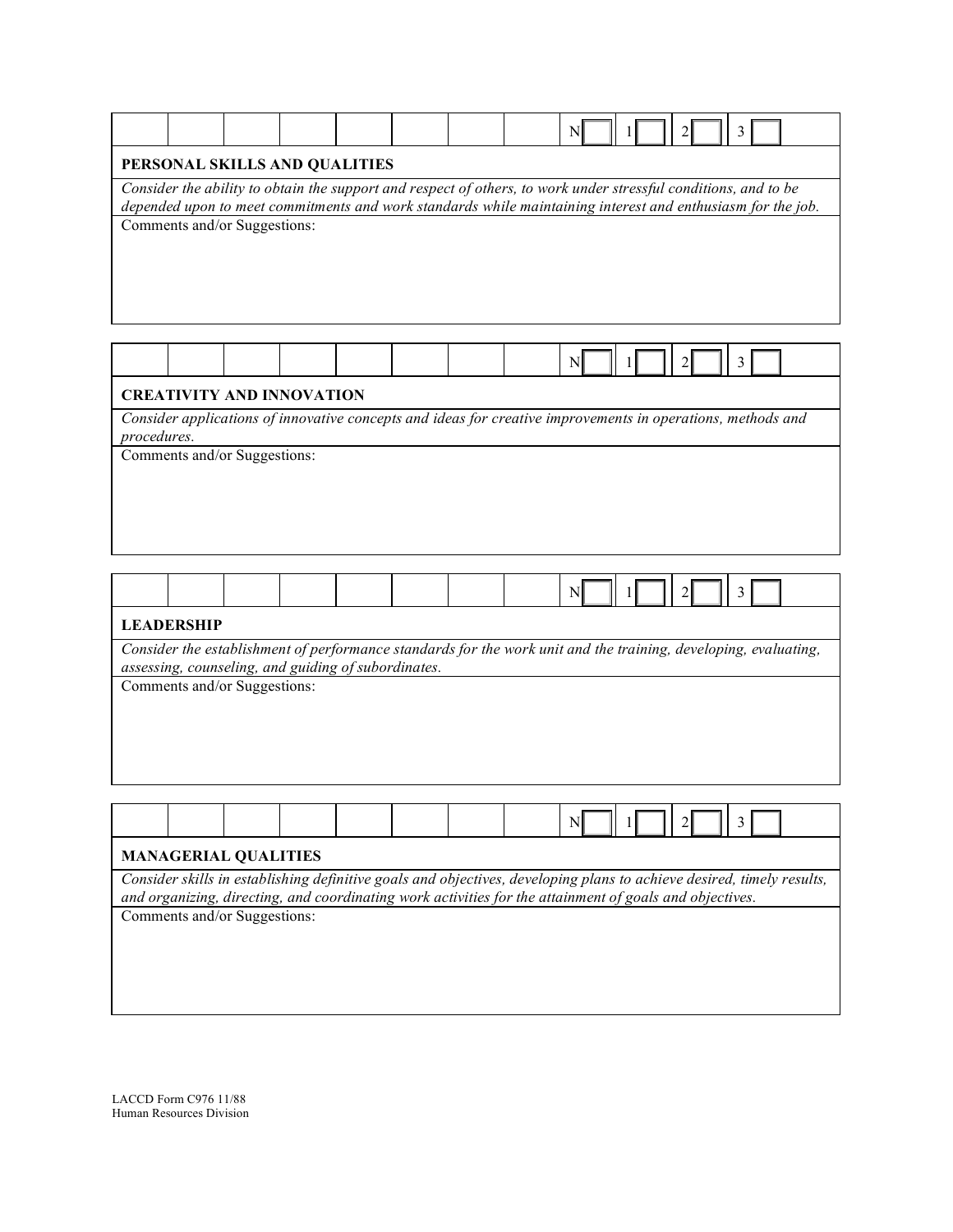|                                                                                                                            |                                                                                                                                                                                                                                |                              |  |  |  |  |  | N |  |  |  |  |
|----------------------------------------------------------------------------------------------------------------------------|--------------------------------------------------------------------------------------------------------------------------------------------------------------------------------------------------------------------------------|------------------------------|--|--|--|--|--|---|--|--|--|--|
| PERSONAL SKILLS AND QUALITIES                                                                                              |                                                                                                                                                                                                                                |                              |  |  |  |  |  |   |  |  |  |  |
|                                                                                                                            | Consider the ability to obtain the support and respect of others, to work under stressful conditions, and to be<br>depended upon to meet commitments and work standards while maintaining interest and enthusiasm for the job. |                              |  |  |  |  |  |   |  |  |  |  |
|                                                                                                                            |                                                                                                                                                                                                                                | Comments and/or Suggestions: |  |  |  |  |  |   |  |  |  |  |
|                                                                                                                            |                                                                                                                                                                                                                                |                              |  |  |  |  |  | N |  |  |  |  |
| <b>CREATIVITY AND INNOVATION</b>                                                                                           |                                                                                                                                                                                                                                |                              |  |  |  |  |  |   |  |  |  |  |
| Consider applications of innovative concepts and ideas for creative improvements in operations, methods and<br>procedures. |                                                                                                                                                                                                                                |                              |  |  |  |  |  |   |  |  |  |  |
|                                                                                                                            |                                                                                                                                                                                                                                | Comments and/or Suggestions: |  |  |  |  |  |   |  |  |  |  |
|                                                                                                                            | <b>LEADERSHIP</b>                                                                                                                                                                                                              |                              |  |  |  |  |  | N |  |  |  |  |

*Consider the establishment of performance standards for the work unit and the training, developing, evaluating, assessing, counseling, and guiding of subordinates.*

Comments and/or Suggestions:

|--|

## **MANAGERIAL QUALITIES**

*Consider skills in establishing definitive goals and objectives, developing plans to achieve desired, timely results, and organizing, directing, and coordinating work activities for the attainment of goals and objectives.*

Comments and/or Suggestions: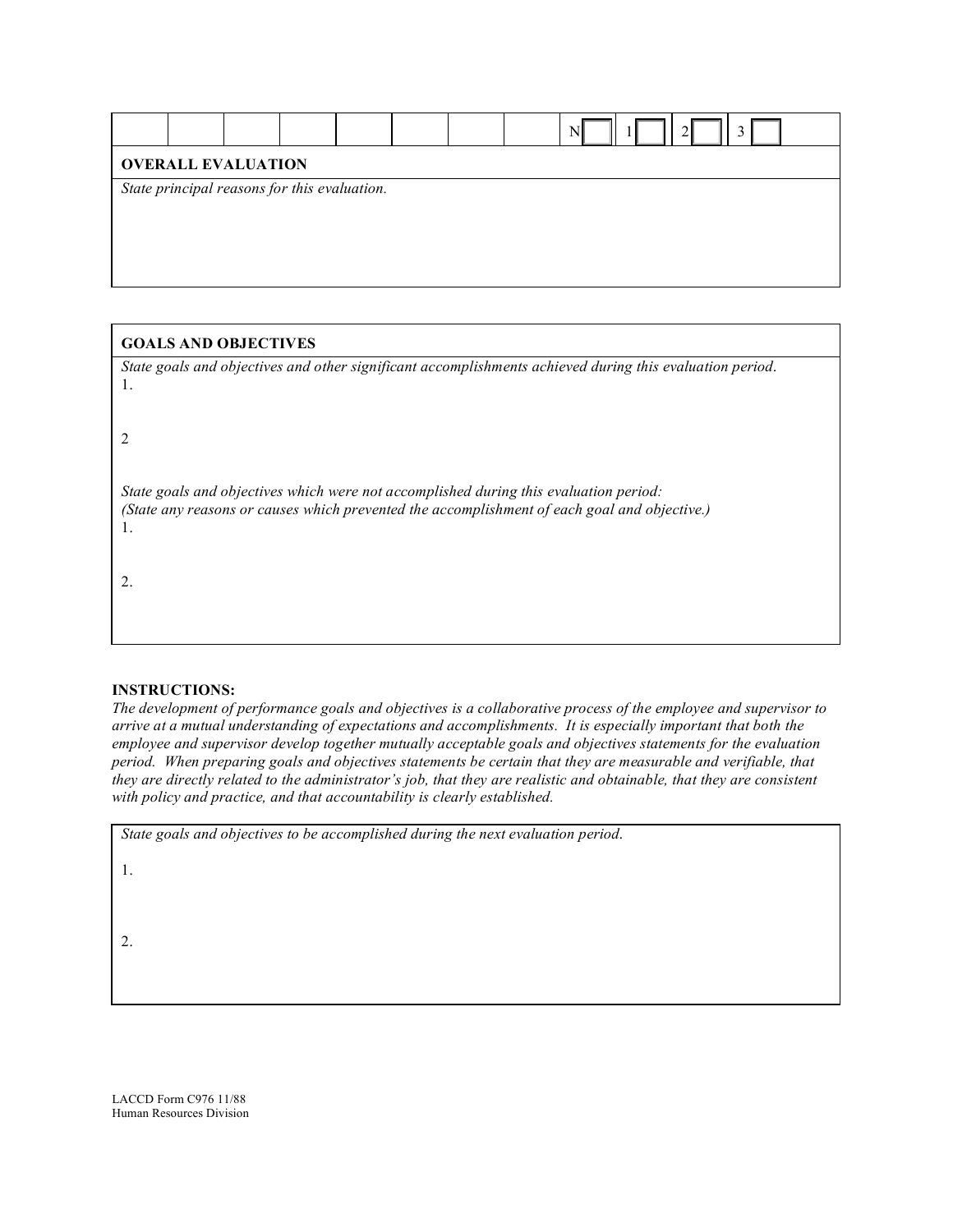| <b>OVERALL EVALUATION</b> |  |                                              |  |  |  |  |  |
|---------------------------|--|----------------------------------------------|--|--|--|--|--|
|                           |  | State principal reasons for this evaluation. |  |  |  |  |  |
|                           |  |                                              |  |  |  |  |  |
|                           |  |                                              |  |  |  |  |  |
|                           |  |                                              |  |  |  |  |  |

| <b>GOALS AND OBJECTIVES</b>                                                                              |
|----------------------------------------------------------------------------------------------------------|
| State goals and objectives and other significant accomplishments achieved during this evaluation period. |
| Ι.                                                                                                       |
|                                                                                                          |
|                                                                                                          |
|                                                                                                          |
| State goals and objectives which were not accomplished during this evaluation period:                    |
| (State any reasons or causes which prevented the accomplishment of each goal and objective.)<br>1.       |
|                                                                                                          |
|                                                                                                          |
|                                                                                                          |
|                                                                                                          |
|                                                                                                          |

#### **INSTRUCTIONS:**

*The development of performance goals and objectives is a collaborative process of the employee and supervisor to arrive at a mutual understanding of expectations and accomplishments. It is especially important that both the employee and supervisor develop together mutually acceptable goals and objectives statements for the evaluation period. When preparing goals and objectives statements be certain that they are measurable and verifiable, that they are directly related to the administrator's job, that they are realistic and obtainable, that they are consistent with policy and practice, and that accountability is clearly established.*

|  |  | State goals and objectives to be accomplished during the next evaluation period. |
|--|--|----------------------------------------------------------------------------------|
|  |  |                                                                                  |

1.

2.